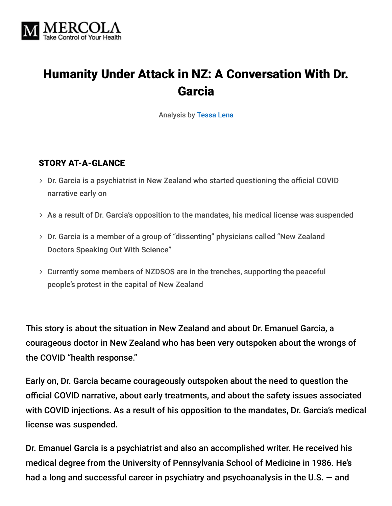

# Humanity Under Attack in NZ: A Conversation With Dr. Garcia

Analysis by [Tessa Lena](https://tessa.substack.com/about)

#### STORY AT-A-GLANCE

- Dr. Garcia is a psychiatrist in New Zealand who started questioning the official COVID narrative early on
- $>$  As a result of Dr. Garcia's opposition to the mandates, his medical license was suspended
- Dr. Garcia is a member of a group of "dissenting" physicians called "New Zealand Doctors Speaking Out With Science"
- Currently some members of NZDSOS are in the trenches, supporting the peaceful people's protest in the capital of New Zealand

This story is about the situation in New Zealand and about Dr. Emanuel Garcia, a courageous doctor in New Zealand who has been very outspoken about the wrongs of the COVID "health response."

Early on, Dr. Garcia became courageously outspoken about the need to question the official COVID narrative, about early treatments, and about the safety issues associated with COVID injections. As a result of his opposition to the mandates, Dr. Garcia's medical license was suspended.

Dr. Emanuel Garcia is a psychiatrist and also an accomplished writer. He received his medical degree from the University of Pennsylvania School of Medicine in 1986. He's had a long and successful career in psychiatry and psychoanalysis in the U.S. — and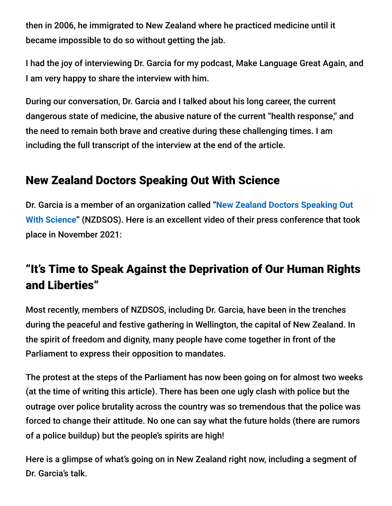then in 2006, he immigrated to New Zealand where he practiced medicine until it became impossible to do so without getting the jab.

I had the joy of interviewing Dr. Garcia for my podcast, Make Language Great Again, and I am very happy to share the interview with him.

During our conversation, Dr. Garcia and I talked about his long career, the current dangerous state of medicine, the abusive nature of the current "health response," and the need to remain both brave and creative during these challenging times. I am including the full transcript of the interview at the end of the article.

## New Zealand Doctors Speaking Out With Science

Dr. Garcia is a member of an organization called "**New Zealand Doctors Speaking Out With Science**[" \(NZDSOS\). Here is an excellent video of their press conference that too](https://nzdsos.com/)k place in November 2021:

# "It's Time to Speak Against the Deprivation of Our Human Rights and Liberties"

Most recently, members of NZDSOS, including Dr. Garcia, have been in the trenches during the peaceful and festive gathering in Wellington, the capital of New Zealand. In the spirit of freedom and dignity, many people have come together in front of the Parliament to express their opposition to mandates.

The protest at the steps of the Parliament has now been going on for almost two weeks (at the time of writing this article). There has been one ugly clash with police but the outrage over police brutality across the country was so tremendous that the police was forced to change their attitude. No one can say what the future holds (there are rumors of a police buildup) but the people's spirits are high!

Here is a glimpse of what's going on in New Zealand right now, including a segment of Dr. Garcia's talk.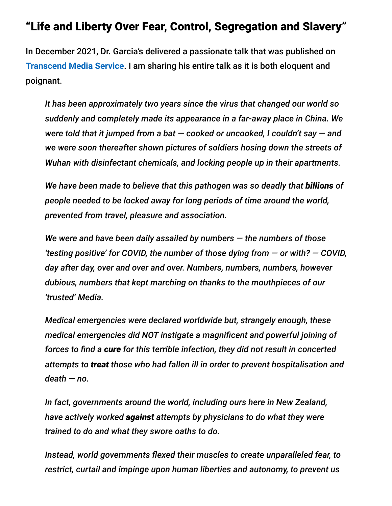## "Life and Liberty Over Fear, Control, Segregation and Slavery"

In December 2021, Dr. Garcia's delivered a passionate talk that was published on **[Transcend Media Service](https://www.transcend.org/tms/2021/12/a-covid-letter-from-aotearoa/)**. I am sharing his entire talk as it is both eloquent and poignant.

*It has been approximately two years since the virus that changed our world so suddenly and completely made its appearance in a far-away place in China. We were told that it jumped from a bat — cooked or uncooked, I couldn't say — and we were soon thereafter shown pictures of soldiers hosing down the streets of Wuhan with disinfectant chemicals, and locking people up in their apartments.*

*We have been made to believe that this pathogen was so deadly that billions of people needed to be locked away for long periods of time around the world, prevented from travel, pleasure and association.*

*We were and have been daily assailed by numbers — the numbers of those 'testing positive' for COVID, the number of those dying from — or with? — COVID, day after day, over and over and over. Numbers, numbers, numbers, however dubious, numbers that kept marching on thanks to the mouthpieces of our 'trusted' Media.*

*Medical emergencies were declared worldwide but, strangely enough, these medical emergencies did NOT instigate a magnificent and powerful joining of forces to find a cure for this terrible infection, they did not result in concerted attempts to treat those who had fallen ill in order to prevent hospitalisation and death — no.*

*In fact, governments around the world, including ours here in New Zealand, have actively worked against attempts by physicians to do what they were trained to do and what they swore oaths to do.*

*Instead, world governments flexed their muscles to create unparalleled fear, to restrict, curtail and impinge upon human liberties and autonomy, to prevent us*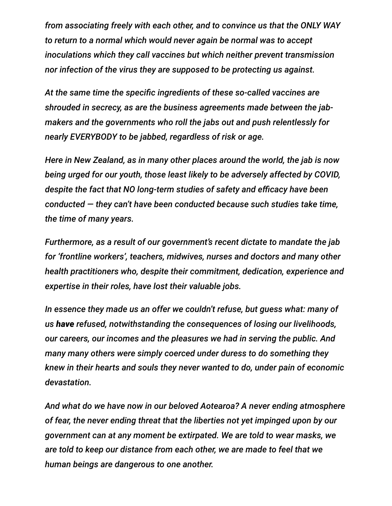*from associating freely with each other, and to convince us that the ONLY WAY to return to a normal which would never again be normal was to accept inoculations which they call vaccines but which neither prevent transmission nor infection of the virus they are supposed to be protecting us against.*

*At the same time the specific ingredients of these so-called vaccines are shrouded in secrecy, as are the business agreements made between the jabmakers and the governments who roll the jabs out and push relentlessly for nearly EVERYBODY to be jabbed, regardless of risk or age.*

*Here in New Zealand, as in many other places around the world, the jab is now being urged for our youth, those least likely to be adversely affected by COVID, despite the fact that NO long-term studies of safety and efficacy have been conducted — they can't have been conducted because such studies take time, the time of many years.*

*Furthermore, as a result of our government's recent dictate to mandate the jab for 'frontline workers', teachers, midwives, nurses and doctors and many other health practitioners who, despite their commitment, dedication, experience and expertise in their roles, have lost their valuable jobs.*

*In essence they made us an offer we couldn't refuse, but guess what: many of us have refused, notwithstanding the consequences of losing our livelihoods, our careers, our incomes and the pleasures we had in serving the public. And many many others were simply coerced under duress to do something they knew in their hearts and souls they never wanted to do, under pain of economic devastation.*

*And what do we have now in our beloved Aotearoa? A never ending atmosphere of fear, the never ending threat that the liberties not yet impinged upon by our government can at any moment be extirpated. We are told to wear masks, we are told to keep our distance from each other, we are made to feel that we human beings are dangerous to one another.*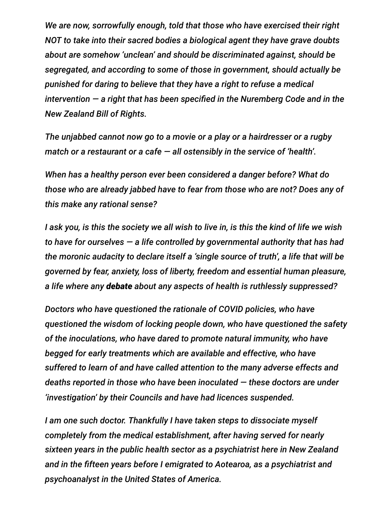*We are now, sorrowfully enough, told that those who have exercised their right NOT to take into their sacred bodies a biological agent they have grave doubts about are somehow 'unclean' and should be discriminated against, should be segregated, and according to some of those in government, should actually be punished for daring to believe that they have a right to refuse a medical intervention — a right that has been specified in the Nuremberg Code and in the New Zealand Bill of Rights.*

*The unjabbed cannot now go to a movie or a play or a hairdresser or a rugby match or a restaurant or a cafe — all ostensibly in the service of 'health'.*

*When has a healthy person ever been considered a danger before? What do those who are already jabbed have to fear from those who are not? Does any of this make any rational sense?*

*I ask you, is this the society we all wish to live in, is this the kind of life we wish to have for ourselves — a life controlled by governmental authority that has had the moronic audacity to declare itself a 'single source of truth', a life that will be governed by fear, anxiety, loss of liberty, freedom and essential human pleasure, a life where any debate about any aspects of health is ruthlessly suppressed?*

*Doctors who have questioned the rationale of COVID policies, who have questioned the wisdom of locking people down, who have questioned the safety of the inoculations, who have dared to promote natural immunity, who have begged for early treatments which are available and effective, who have suffered to learn of and have called attention to the many adverse effects and deaths reported in those who have been inoculated — these doctors are under 'investigation' by their Councils and have had licences suspended.*

*I am one such doctor. Thankfully I have taken steps to dissociate myself completely from the medical establishment, after having served for nearly sixteen years in the public health sector as a psychiatrist here in New Zealand and in the fifteen years before I emigrated to Aotearoa, as a psychiatrist and psychoanalyst in the United States of America.*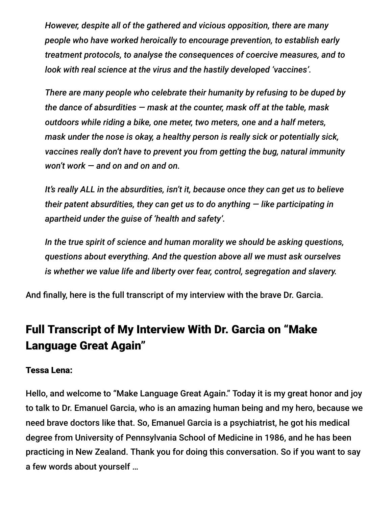*However, despite all of the gathered and vicious opposition, there are many people who have worked heroically to encourage prevention, to establish early treatment protocols, to analyse the consequences of coercive measures, and to look with real science at the virus and the hastily developed 'vaccines'.*

*There are many people who celebrate their humanity by refusing to be duped by the dance of absurdities — mask at the counter, mask off at the table, mask outdoors while riding a bike, one meter, two meters, one and a half meters, mask under the nose is okay, a healthy person is really sick or potentially sick, vaccines really don't have to prevent you from getting the bug, natural immunity won't work — and on and on and on.*

*It's really ALL in the absurdities, isn't it, because once they can get us to believe their patent absurdities, they can get us to do anything — like participating in apartheid under the guise of 'health and safety'.*

*In the true spirit of science and human morality we should be asking questions, questions about everything. And the question above all we must ask ourselves is whether we value life and liberty over fear, control, segregation and slavery.*

And finally, here is the full transcript of my interview with the brave Dr. Garcia.

# Full Transcript of My Interview With Dr. Garcia on "Make Language Great Again"

#### Tessa Lena:

Hello, and welcome to "Make Language Great Again." Today it is my great honor and joy to talk to Dr. Emanuel Garcia, who is an amazing human being and my hero, because we need brave doctors like that. So, Emanuel Garcia is a psychiatrist, he got his medical degree from University of Pennsylvania School of Medicine in 1986, and he has been practicing in New Zealand. Thank you for doing this conversation. So if you want to say a few words about yourself …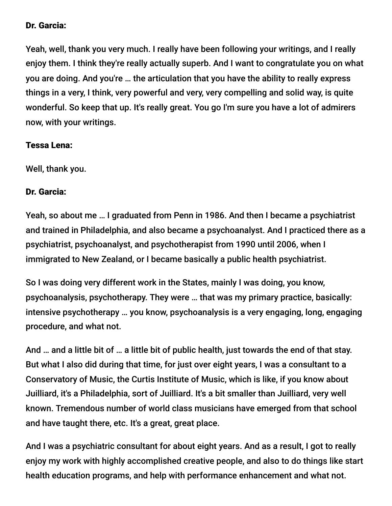#### Dr. Garcia:

Yeah, well, thank you very much. I really have been following your writings, and I really enjoy them. I think they're really actually superb. And I want to congratulate you on what you are doing. And you're … the articulation that you have the ability to really express things in a very, I think, very powerful and very, very compelling and solid way, is quite wonderful. So keep that up. It's really great. You go I'm sure you have a lot of admirers now, with your writings.

#### Tessa Lena:

Well, thank you.

#### Dr. Garcia:

Yeah, so about me … I graduated from Penn in 1986. And then I became a psychiatrist and trained in Philadelphia, and also became a psychoanalyst. And I practiced there as a psychiatrist, psychoanalyst, and psychotherapist from 1990 until 2006, when I immigrated to New Zealand, or I became basically a public health psychiatrist.

So I was doing very different work in the States, mainly I was doing, you know, psychoanalysis, psychotherapy. They were … that was my primary practice, basically: intensive psychotherapy … you know, psychoanalysis is a very engaging, long, engaging procedure, and what not.

And … and a little bit of … a little bit of public health, just towards the end of that stay. But what I also did during that time, for just over eight years, I was a consultant to a Conservatory of Music, the Curtis Institute of Music, which is like, if you know about Juilliard, it's a Philadelphia, sort of Juilliard. It's a bit smaller than Juilliard, very well known. Tremendous number of world class musicians have emerged from that school and have taught there, etc. It's a great, great place.

And I was a psychiatric consultant for about eight years. And as a result, I got to really enjoy my work with highly accomplished creative people, and also to do things like start health education programs, and help with performance enhancement and what not.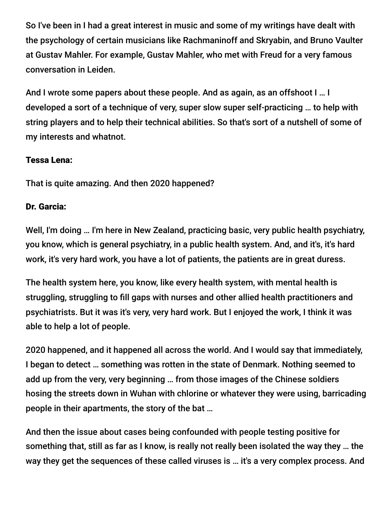So I've been in I had a great interest in music and some of my writings have dealt with the psychology of certain musicians like Rachmaninoff and Skryabin, and Bruno Vaulter at Gustav Mahler. For example, Gustav Mahler, who met with Freud for a very famous conversation in Leiden.

And I wrote some papers about these people. And as again, as an offshoot I … I developed a sort of a technique of very, super slow super self-practicing … to help with string players and to help their technical abilities. So that's sort of a nutshell of some of my interests and whatnot.

#### Tessa Lena:

That is quite amazing. And then 2020 happened?

## Dr. Garcia:

Well, I'm doing … I'm here in New Zealand, practicing basic, very public health psychiatry, you know, which is general psychiatry, in a public health system. And, and it's, it's hard work, it's very hard work, you have a lot of patients, the patients are in great duress.

The health system here, you know, like every health system, with mental health is struggling, struggling to fill gaps with nurses and other allied health practitioners and psychiatrists. But it was it's very, very hard work. But I enjoyed the work, I think it was able to help a lot of people.

2020 happened, and it happened all across the world. And I would say that immediately, I began to detect … something was rotten in the state of Denmark. Nothing seemed to add up from the very, very beginning … from those images of the Chinese soldiers hosing the streets down in Wuhan with chlorine or whatever they were using, barricading people in their apartments, the story of the bat …

And then the issue about cases being confounded with people testing positive for something that, still as far as I know, is really not really been isolated the way they … the way they get the sequences of these called viruses is … it's a very complex process. And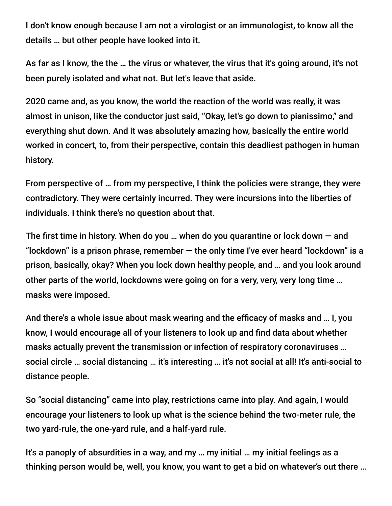I don't know enough because I am not a virologist or an immunologist, to know all the details … but other people have looked into it.

As far as I know, the the … the virus or whatever, the virus that it's going around, it's not been purely isolated and what not. But let's leave that aside.

2020 came and, as you know, the world the reaction of the world was really, it was almost in unison, like the conductor just said, "Okay, let's go down to pianissimo," and everything shut down. And it was absolutely amazing how, basically the entire world worked in concert, to, from their perspective, contain this deadliest pathogen in human history.

From perspective of … from my perspective, I think the policies were strange, they were contradictory. They were certainly incurred. They were incursions into the liberties of individuals. I think there's no question about that.

The first time in history. When do you ... when do you quarantine or lock down  $-$  and "lockdown" is a prison phrase, remember  $-$  the only time I've ever heard "lockdown" is a prison, basically, okay? When you lock down healthy people, and … and you look around other parts of the world, lockdowns were going on for a very, very, very long time … masks were imposed.

And there's a whole issue about mask wearing and the efficacy of masks and … I, you know, I would encourage all of your listeners to look up and find data about whether masks actually prevent the transmission or infection of respiratory coronaviruses … social circle … social distancing … it's interesting … it's not social at all! It's anti-social to distance people.

So "social distancing" came into play, restrictions came into play. And again, I would encourage your listeners to look up what is the science behind the two-meter rule, the two yard-rule, the one-yard rule, and a half-yard rule.

It's a panoply of absurdities in a way, and my … my initial … my initial feelings as a thinking person would be, well, you know, you want to get a bid on whatever's out there …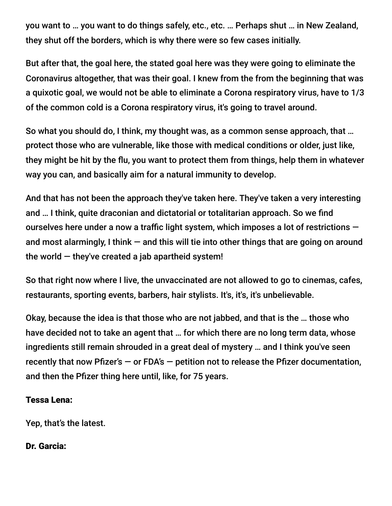you want to … you want to do things safely, etc., etc. … Perhaps shut … in New Zealand, they shut off the borders, which is why there were so few cases initially.

But after that, the goal here, the stated goal here was they were going to eliminate the Coronavirus altogether, that was their goal. I knew from the from the beginning that was a quixotic goal, we would not be able to eliminate a Corona respiratory virus, have to 1/3 of the common cold is a Corona respiratory virus, it's going to travel around.

So what you should do, I think, my thought was, as a common sense approach, that … protect those who are vulnerable, like those with medical conditions or older, just like, they might be hit by the flu, you want to protect them from things, help them in whatever way you can, and basically aim for a natural immunity to develop.

And that has not been the approach they've taken here. They've taken a very interesting and … I think, quite draconian and dictatorial or totalitarian approach. So we find ourselves here under a now a traffic light system, which imposes a lot of restrictions and most alarmingly, I think  $-$  and this will tie into other things that are going on around the world  $-$  they've created a jab apartheid system!

So that right now where I live, the unvaccinated are not allowed to go to cinemas, cafes, restaurants, sporting events, barbers, hair stylists. It's, it's, it's unbelievable.

Okay, because the idea is that those who are not jabbed, and that is the … those who have decided not to take an agent that … for which there are no long term data, whose ingredients still remain shrouded in a great deal of mystery … and I think you've seen recently that now Pfizer's  $-$  or FDA's  $-$  petition not to release the Pfizer documentation, and then the Pfizer thing here until, like, for 75 years.

#### Tessa Lena:

Yep, that's the latest.

## Dr. Garcia: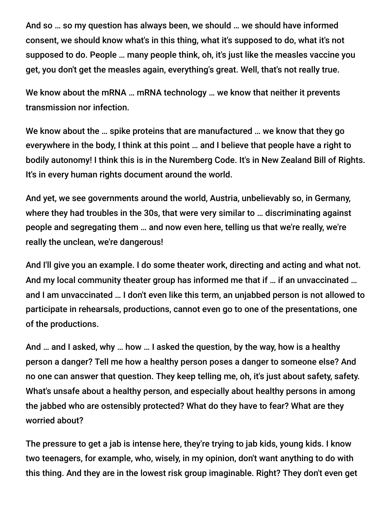And so … so my question has always been, we should … we should have informed consent, we should know what's in this thing, what it's supposed to do, what it's not supposed to do. People … many people think, oh, it's just like the measles vaccine you get, you don't get the measles again, everything's great. Well, that's not really true.

We know about the mRNA … mRNA technology … we know that neither it prevents transmission nor infection.

We know about the … spike proteins that are manufactured … we know that they go everywhere in the body, I think at this point … and I believe that people have a right to bodily autonomy! I think this is in the Nuremberg Code. It's in New Zealand Bill of Rights. It's in every human rights document around the world.

And yet, we see governments around the world, Austria, unbelievably so, in Germany, where they had troubles in the 30s, that were very similar to … discriminating against people and segregating them … and now even here, telling us that we're really, we're really the unclean, we're dangerous!

And I'll give you an example. I do some theater work, directing and acting and what not. And my local community theater group has informed me that if … if an unvaccinated … and I am unvaccinated … I don't even like this term, an unjabbed person is not allowed to participate in rehearsals, productions, cannot even go to one of the presentations, one of the productions.

And … and I asked, why … how … I asked the question, by the way, how is a healthy person a danger? Tell me how a healthy person poses a danger to someone else? And no one can answer that question. They keep telling me, oh, it's just about safety, safety. What's unsafe about a healthy person, and especially about healthy persons in among the jabbed who are ostensibly protected? What do they have to fear? What are they worried about?

The pressure to get a jab is intense here, they're trying to jab kids, young kids. I know two teenagers, for example, who, wisely, in my opinion, don't want anything to do with this thing. And they are in the lowest risk group imaginable. Right? They don't even get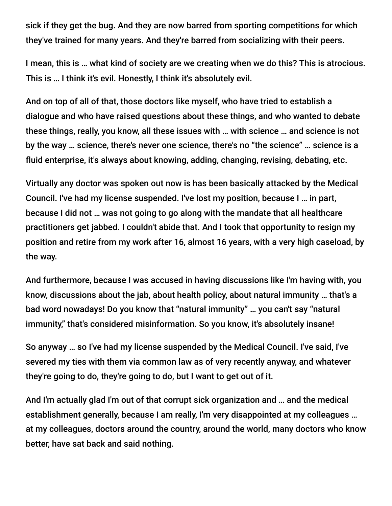sick if they get the bug. And they are now barred from sporting competitions for which they've trained for many years. And they're barred from socializing with their peers.

I mean, this is … what kind of society are we creating when we do this? This is atrocious. This is … I think it's evil. Honestly, I think it's absolutely evil.

And on top of all of that, those doctors like myself, who have tried to establish a dialogue and who have raised questions about these things, and who wanted to debate these things, really, you know, all these issues with … with science … and science is not by the way … science, there's never one science, there's no "the science" … science is a fluid enterprise, it's always about knowing, adding, changing, revising, debating, etc.

Virtually any doctor was spoken out now is has been basically attacked by the Medical Council. I've had my license suspended. I've lost my position, because I … in part, because I did not … was not going to go along with the mandate that all healthcare practitioners get jabbed. I couldn't abide that. And I took that opportunity to resign my position and retire from my work after 16, almost 16 years, with a very high caseload, by the way.

And furthermore, because I was accused in having discussions like I'm having with, you know, discussions about the jab, about health policy, about natural immunity … that's a bad word nowadays! Do you know that "natural immunity" … you can't say "natural immunity," that's considered misinformation. So you know, it's absolutely insane!

So anyway … so I've had my license suspended by the Medical Council. I've said, I've severed my ties with them via common law as of very recently anyway, and whatever they're going to do, they're going to do, but I want to get out of it.

And I'm actually glad I'm out of that corrupt sick organization and … and the medical establishment generally, because I am really, I'm very disappointed at my colleagues … at my colleagues, doctors around the country, around the world, many doctors who know better, have sat back and said nothing.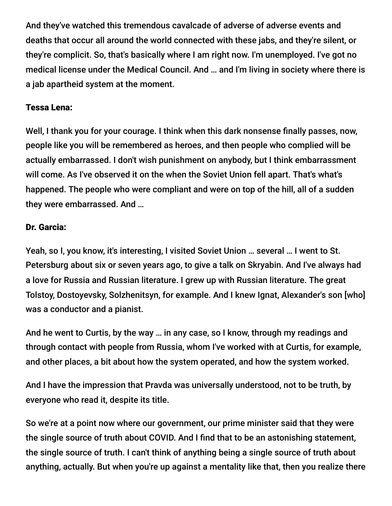And they've watched this tremendous cavalcade of adverse of adverse events and deaths that occur all around the world connected with these jabs, and they're silent, or they're complicit. So, that's basically where I am right now. I'm unemployed. I've got no medical license under the Medical Council. And … and I'm living in society where there is a jab apartheid system at the moment.

#### Tessa Lena:

Well, I thank you for your courage. I think when this dark nonsense finally passes, now, people like you will be remembered as heroes, and then people who complied will be actually embarrassed. I don't wish punishment on anybody, but I think embarrassment will come. As I've observed it on the when the Soviet Union fell apart. That's what's happened. The people who were compliant and were on top of the hill, all of a sudden they were embarrassed. And …

#### Dr. Garcia:

Yeah, so I, you know, it's interesting, I visited Soviet Union … several … I went to St. Petersburg about six or seven years ago, to give a talk on Skryabin. And I've always had a love for Russia and Russian literature. I grew up with Russian literature. The great Tolstoy, Dostoyevsky, Solzhenitsyn, for example. And I knew Ignat, Alexander's son [who] was a conductor and a pianist.

And he went to Curtis, by the way … in any case, so I know, through my readings and through contact with people from Russia, whom I've worked with at Curtis, for example, and other places, a bit about how the system operated, and how the system worked.

And I have the impression that Pravda was universally understood, not to be truth, by everyone who read it, despite its title.

So we're at a point now where our government, our prime minister said that they were the single source of truth about COVID. And I find that to be an astonishing statement, the single source of truth. I can't think of anything being a single source of truth about anything, actually. But when you're up against a mentality like that, then you realize there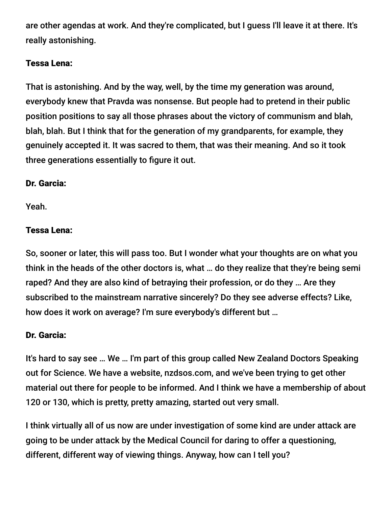are other agendas at work. And they're complicated, but I guess I'll leave it at there. It's really astonishing.

## Tessa Lena:

That is astonishing. And by the way, well, by the time my generation was around, everybody knew that Pravda was nonsense. But people had to pretend in their public position positions to say all those phrases about the victory of communism and blah, blah, blah. But I think that for the generation of my grandparents, for example, they genuinely accepted it. It was sacred to them, that was their meaning. And so it took three generations essentially to figure it out.

## Dr. Garcia:

Yeah.

## Tessa Lena:

So, sooner or later, this will pass too. But I wonder what your thoughts are on what you think in the heads of the other doctors is, what … do they realize that they're being semi raped? And they are also kind of betraying their profession, or do they … Are they subscribed to the mainstream narrative sincerely? Do they see adverse effects? Like, how does it work on average? I'm sure everybody's different but …

## Dr. Garcia:

It's hard to say see … We … I'm part of this group called New Zealand Doctors Speaking out for Science. We have a website, nzdsos.com, and we've been trying to get other material out there for people to be informed. And I think we have a membership of about 120 or 130, which is pretty, pretty amazing, started out very small.

I think virtually all of us now are under investigation of some kind are under attack are going to be under attack by the Medical Council for daring to offer a questioning, different, different way of viewing things. Anyway, how can I tell you?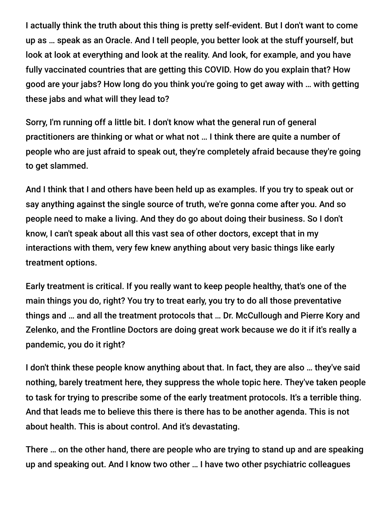I actually think the truth about this thing is pretty self-evident. But I don't want to come up as … speak as an Oracle. And I tell people, you better look at the stuff yourself, but look at look at everything and look at the reality. And look, for example, and you have fully vaccinated countries that are getting this COVID. How do you explain that? How good are your jabs? How long do you think you're going to get away with … with getting these jabs and what will they lead to?

Sorry, I'm running off a little bit. I don't know what the general run of general practitioners are thinking or what or what not … I think there are quite a number of people who are just afraid to speak out, they're completely afraid because they're going to get slammed.

And I think that I and others have been held up as examples. If you try to speak out or say anything against the single source of truth, we're gonna come after you. And so people need to make a living. And they do go about doing their business. So I don't know, I can't speak about all this vast sea of other doctors, except that in my interactions with them, very few knew anything about very basic things like early treatment options.

Early treatment is critical. If you really want to keep people healthy, that's one of the main things you do, right? You try to treat early, you try to do all those preventative things and … and all the treatment protocols that … Dr. McCullough and Pierre Kory and Zelenko, and the Frontline Doctors are doing great work because we do it if it's really a pandemic, you do it right?

I don't think these people know anything about that. In fact, they are also … they've said nothing, barely treatment here, they suppress the whole topic here. They've taken people to task for trying to prescribe some of the early treatment protocols. It's a terrible thing. And that leads me to believe this there is there has to be another agenda. This is not about health. This is about control. And it's devastating.

There … on the other hand, there are people who are trying to stand up and are speaking up and speaking out. And I know two other … I have two other psychiatric colleagues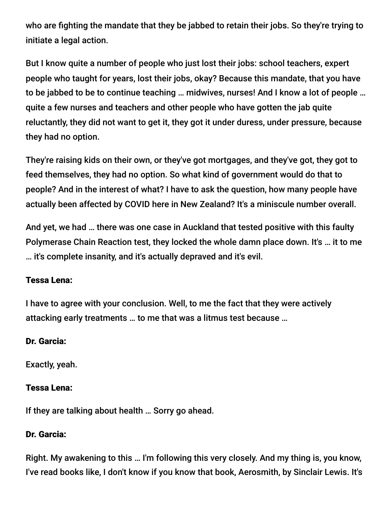who are fighting the mandate that they be jabbed to retain their jobs. So they're trying to initiate a legal action.

But I know quite a number of people who just lost their jobs: school teachers, expert people who taught for years, lost their jobs, okay? Because this mandate, that you have to be jabbed to be to continue teaching … midwives, nurses! And I know a lot of people … quite a few nurses and teachers and other people who have gotten the jab quite reluctantly, they did not want to get it, they got it under duress, under pressure, because they had no option.

They're raising kids on their own, or they've got mortgages, and they've got, they got to feed themselves, they had no option. So what kind of government would do that to people? And in the interest of what? I have to ask the question, how many people have actually been affected by COVID here in New Zealand? It's a miniscule number overall.

And yet, we had … there was one case in Auckland that tested positive with this faulty Polymerase Chain Reaction test, they locked the whole damn place down. It's … it to me … it's complete insanity, and it's actually depraved and it's evil.

#### Tessa Lena:

I have to agree with your conclusion. Well, to me the fact that they were actively attacking early treatments … to me that was a litmus test because …

#### Dr. Garcia:

Exactly, yeah.

#### Tessa Lena:

If they are talking about health … Sorry go ahead.

#### Dr. Garcia:

Right. My awakening to this … I'm following this very closely. And my thing is, you know, I've read books like, I don't know if you know that book, Aerosmith, by Sinclair Lewis. It's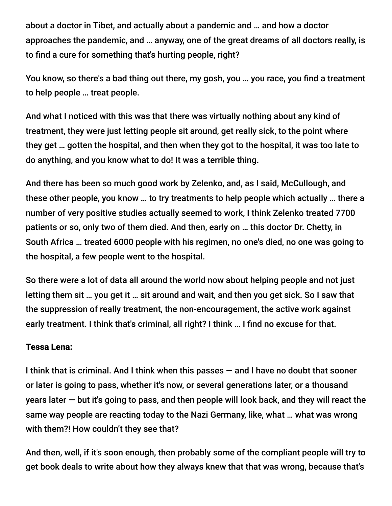about a doctor in Tibet, and actually about a pandemic and … and how a doctor approaches the pandemic, and … anyway, one of the great dreams of all doctors really, is to find a cure for something that's hurting people, right?

You know, so there's a bad thing out there, my gosh, you … you race, you find a treatment to help people … treat people.

And what I noticed with this was that there was virtually nothing about any kind of treatment, they were just letting people sit around, get really sick, to the point where they get … gotten the hospital, and then when they got to the hospital, it was too late to do anything, and you know what to do! It was a terrible thing.

And there has been so much good work by Zelenko, and, as I said, McCullough, and these other people, you know … to try treatments to help people which actually … there a number of very positive studies actually seemed to work, I think Zelenko treated 7700 patients or so, only two of them died. And then, early on … this doctor Dr. Chetty, in South Africa … treated 6000 people with his regimen, no one's died, no one was going to the hospital, a few people went to the hospital.

So there were a lot of data all around the world now about helping people and not just letting them sit … you get it … sit around and wait, and then you get sick. So I saw that the suppression of really treatment, the non-encouragement, the active work against early treatment. I think that's criminal, all right? I think … I find no excuse for that.

#### Tessa Lena:

I think that is criminal. And I think when this passes — and I have no doubt that sooner or later is going to pass, whether it's now, or several generations later, or a thousand years later — but it's going to pass, and then people will look back, and they will react the same way people are reacting today to the Nazi Germany, like, what … what was wrong with them?! How couldn't they see that?

And then, well, if it's soon enough, then probably some of the compliant people will try to get book deals to write about how they always knew that that was wrong, because that's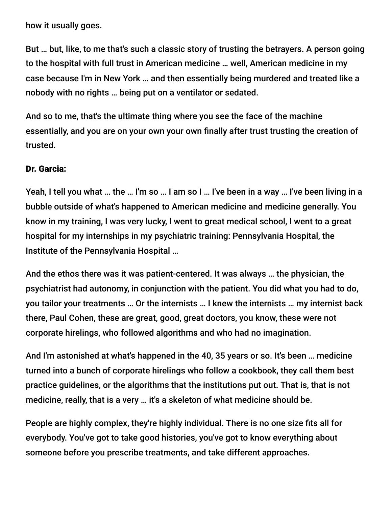how it usually goes.

But … but, like, to me that's such a classic story of trusting the betrayers. A person going to the hospital with full trust in American medicine … well, American medicine in my case because I'm in New York … and then essentially being murdered and treated like a nobody with no rights … being put on a ventilator or sedated.

And so to me, that's the ultimate thing where you see the face of the machine essentially, and you are on your own your own finally after trust trusting the creation of trusted.

#### Dr. Garcia:

Yeah, I tell you what … the … I'm so … I am so I … I've been in a way … I've been living in a bubble outside of what's happened to American medicine and medicine generally. You know in my training, I was very lucky, I went to great medical school, I went to a great hospital for my internships in my psychiatric training: Pennsylvania Hospital, the Institute of the Pennsylvania Hospital …

And the ethos there was it was patient-centered. It was always … the physician, the psychiatrist had autonomy, in conjunction with the patient. You did what you had to do, you tailor your treatments … Or the internists … I knew the internists … my internist back there, Paul Cohen, these are great, good, great doctors, you know, these were not corporate hirelings, who followed algorithms and who had no imagination.

And I'm astonished at what's happened in the 40, 35 years or so. It's been … medicine turned into a bunch of corporate hirelings who follow a cookbook, they call them best practice guidelines, or the algorithms that the institutions put out. That is, that is not medicine, really, that is a very ... it's a skeleton of what medicine should be.

People are highly complex, they're highly individual. There is no one size fits all for everybody. You've got to take good histories, you've got to know everything about someone before you prescribe treatments, and take different approaches.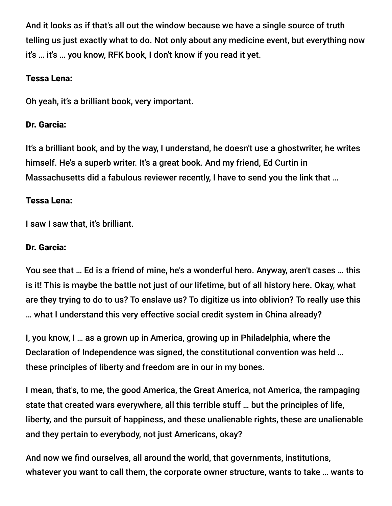And it looks as if that's all out the window because we have a single source of truth telling us just exactly what to do. Not only about any medicine event, but everything now it's … it's … you know, RFK book, I don't know if you read it yet.

## Tessa Lena:

Oh yeah, it's a brilliant book, very important.

## Dr. Garcia:

It's a brilliant book, and by the way, I understand, he doesn't use a ghostwriter, he writes himself. He's a superb writer. It's a great book. And my friend, Ed Curtin in Massachusetts did a fabulous reviewer recently, I have to send you the link that …

## Tessa Lena:

I saw I saw that, it's brilliant.

## Dr. Garcia:

You see that … Ed is a friend of mine, he's a wonderful hero. Anyway, aren't cases … this is it! This is maybe the battle not just of our lifetime, but of all history here. Okay, what are they trying to do to us? To enslave us? To digitize us into oblivion? To really use this … what I understand this very effective social credit system in China already?

I, you know, I … as a grown up in America, growing up in Philadelphia, where the Declaration of Independence was signed, the constitutional convention was held … these principles of liberty and freedom are in our in my bones.

I mean, that's, to me, the good America, the Great America, not America, the rampaging state that created wars everywhere, all this terrible stuff … but the principles of life, liberty, and the pursuit of happiness, and these unalienable rights, these are unalienable and they pertain to everybody, not just Americans, okay?

And now we find ourselves, all around the world, that governments, institutions, whatever you want to call them, the corporate owner structure, wants to take … wants to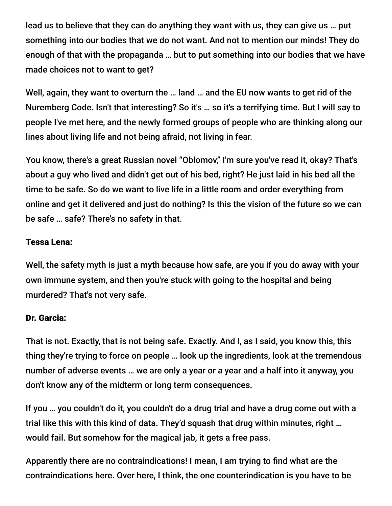lead us to believe that they can do anything they want with us, they can give us … put something into our bodies that we do not want. And not to mention our minds! They do enough of that with the propaganda … but to put something into our bodies that we have made choices not to want to get?

Well, again, they want to overturn the … land … and the EU now wants to get rid of the Nuremberg Code. Isn't that interesting? So it's … so it's a terrifying time. But I will say to people I've met here, and the newly formed groups of people who are thinking along our lines about living life and not being afraid, not living in fear.

You know, there's a great Russian novel "Oblomov," I'm sure you've read it, okay? That's about a guy who lived and didn't get out of his bed, right? He just laid in his bed all the time to be safe. So do we want to live life in a little room and order everything from online and get it delivered and just do nothing? Is this the vision of the future so we can be safe … safe? There's no safety in that.

## Tessa Lena:

Well, the safety myth is just a myth because how safe, are you if you do away with your own immune system, and then you're stuck with going to the hospital and being murdered? That's not very safe.

#### Dr. Garcia:

That is not. Exactly, that is not being safe. Exactly. And I, as I said, you know this, this thing they're trying to force on people … look up the ingredients, look at the tremendous number of adverse events … we are only a year or a year and a half into it anyway, you don't know any of the midterm or long term consequences.

If you … you couldn't do it, you couldn't do a drug trial and have a drug come out with a trial like this with this kind of data. They'd squash that drug within minutes, right … would fail. But somehow for the magical jab, it gets a free pass.

Apparently there are no contraindications! I mean, I am trying to find what are the contraindications here. Over here, I think, the one counterindication is you have to be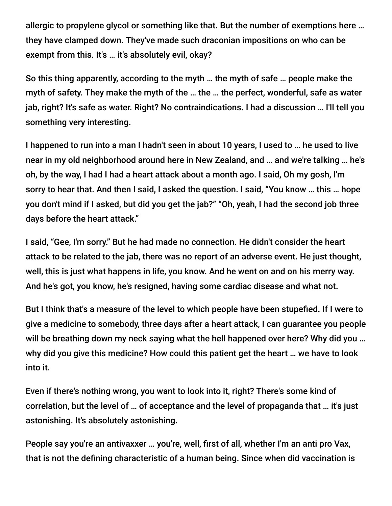allergic to propylene glycol or something like that. But the number of exemptions here … they have clamped down. They've made such draconian impositions on who can be exempt from this. It's … it's absolutely evil, okay?

So this thing apparently, according to the myth … the myth of safe … people make the myth of safety. They make the myth of the … the … the perfect, wonderful, safe as water jab, right? It's safe as water. Right? No contraindications. I had a discussion … I'll tell you something very interesting.

I happened to run into a man I hadn't seen in about 10 years, I used to … he used to live near in my old neighborhood around here in New Zealand, and … and we're talking … he's oh, by the way, I had I had a heart attack about a month ago. I said, Oh my gosh, I'm sorry to hear that. And then I said, I asked the question. I said, "You know … this … hope you don't mind if I asked, but did you get the jab?" "Oh, yeah, I had the second job three days before the heart attack."

I said, "Gee, I'm sorry." But he had made no connection. He didn't consider the heart attack to be related to the jab, there was no report of an adverse event. He just thought, well, this is just what happens in life, you know. And he went on and on his merry way. And he's got, you know, he's resigned, having some cardiac disease and what not.

But I think that's a measure of the level to which people have been stupefied. If I were to give a medicine to somebody, three days after a heart attack, I can guarantee you people will be breathing down my neck saying what the hell happened over here? Why did you … why did you give this medicine? How could this patient get the heart … we have to look into it.

Even if there's nothing wrong, you want to look into it, right? There's some kind of correlation, but the level of … of acceptance and the level of propaganda that … it's just astonishing. It's absolutely astonishing.

People say you're an antivaxxer … you're, well, first of all, whether I'm an anti pro Vax, that is not the defining characteristic of a human being. Since when did vaccination is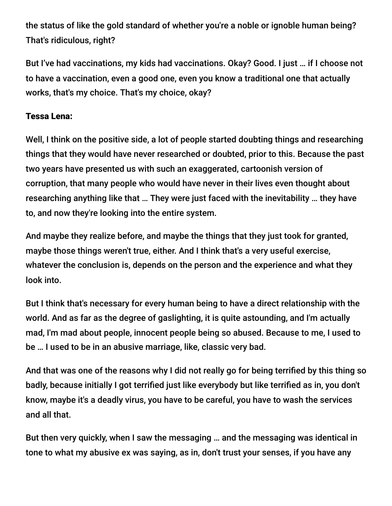the status of like the gold standard of whether you're a noble or ignoble human being? That's ridiculous, right?

But I've had vaccinations, my kids had vaccinations. Okay? Good. I just … if I choose not to have a vaccination, even a good one, even you know a traditional one that actually works, that's my choice. That's my choice, okay?

## Tessa Lena:

Well, I think on the positive side, a lot of people started doubting things and researching things that they would have never researched or doubted, prior to this. Because the past two years have presented us with such an exaggerated, cartoonish version of corruption, that many people who would have never in their lives even thought about researching anything like that … They were just faced with the inevitability … they have to, and now they're looking into the entire system.

And maybe they realize before, and maybe the things that they just took for granted, maybe those things weren't true, either. And I think that's a very useful exercise, whatever the conclusion is, depends on the person and the experience and what they look into.

But I think that's necessary for every human being to have a direct relationship with the world. And as far as the degree of gaslighting, it is quite astounding, and I'm actually mad, I'm mad about people, innocent people being so abused. Because to me, I used to be … I used to be in an abusive marriage, like, classic very bad.

And that was one of the reasons why I did not really go for being terrified by this thing so badly, because initially I got terrified just like everybody but like terrified as in, you don't know, maybe it's a deadly virus, you have to be careful, you have to wash the services and all that.

But then very quickly, when I saw the messaging … and the messaging was identical in tone to what my abusive ex was saying, as in, don't trust your senses, if you have any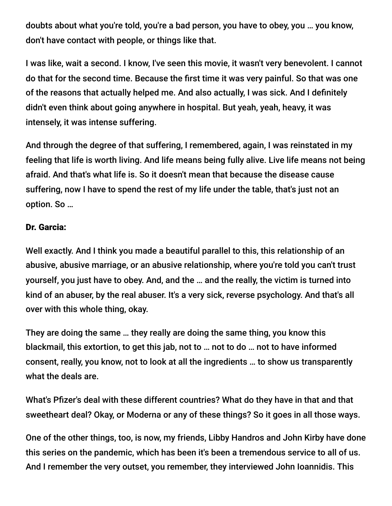doubts about what you're told, you're a bad person, you have to obey, you … you know, don't have contact with people, or things like that.

I was like, wait a second. I know, I've seen this movie, it wasn't very benevolent. I cannot do that for the second time. Because the first time it was very painful. So that was one of the reasons that actually helped me. And also actually, I was sick. And I definitely didn't even think about going anywhere in hospital. But yeah, yeah, heavy, it was intensely, it was intense suffering.

And through the degree of that suffering, I remembered, again, I was reinstated in my feeling that life is worth living. And life means being fully alive. Live life means not being afraid. And that's what life is. So it doesn't mean that because the disease cause suffering, now I have to spend the rest of my life under the table, that's just not an option. So …

#### Dr. Garcia:

Well exactly. And I think you made a beautiful parallel to this, this relationship of an abusive, abusive marriage, or an abusive relationship, where you're told you can't trust yourself, you just have to obey. And, and the … and the really, the victim is turned into kind of an abuser, by the real abuser. It's a very sick, reverse psychology. And that's all over with this whole thing, okay.

They are doing the same … they really are doing the same thing, you know this blackmail, this extortion, to get this jab, not to … not to do … not to have informed consent, really, you know, not to look at all the ingredients … to show us transparently what the deals are.

What's Pfizer's deal with these different countries? What do they have in that and that sweetheart deal? Okay, or Moderna or any of these things? So it goes in all those ways.

One of the other things, too, is now, my friends, Libby Handros and John Kirby have done this series on the pandemic, which has been it's been a tremendous service to all of us. And I remember the very outset, you remember, they interviewed John Ioannidis. This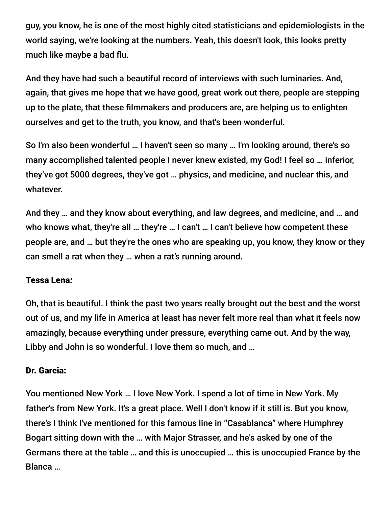guy, you know, he is one of the most highly cited statisticians and epidemiologists in the world saying, we're looking at the numbers. Yeah, this doesn't look, this looks pretty much like maybe a bad flu.

And they have had such a beautiful record of interviews with such luminaries. And, again, that gives me hope that we have good, great work out there, people are stepping up to the plate, that these filmmakers and producers are, are helping us to enlighten ourselves and get to the truth, you know, and that's been wonderful.

So I'm also been wonderful … I haven't seen so many … I'm looking around, there's so many accomplished talented people I never knew existed, my God! I feel so … inferior, they've got 5000 degrees, they've got … physics, and medicine, and nuclear this, and whatever.

And they … and they know about everything, and law degrees, and medicine, and … and who knows what, they're all … they're … I can't … I can't believe how competent these people are, and … but they're the ones who are speaking up, you know, they know or they can smell a rat when they … when a rat's running around.

#### Tessa Lena:

Oh, that is beautiful. I think the past two years really brought out the best and the worst out of us, and my life in America at least has never felt more real than what it feels now amazingly, because everything under pressure, everything came out. And by the way, Libby and John is so wonderful. I love them so much, and …

#### Dr. Garcia:

You mentioned New York … I love New York. I spend a lot of time in New York. My father's from New York. It's a great place. Well I don't know if it still is. But you know, there's I think I've mentioned for this famous line in "Casablanca" where Humphrey Bogart sitting down with the … with Major Strasser, and he's asked by one of the Germans there at the table … and this is unoccupied … this is unoccupied France by the Blanca …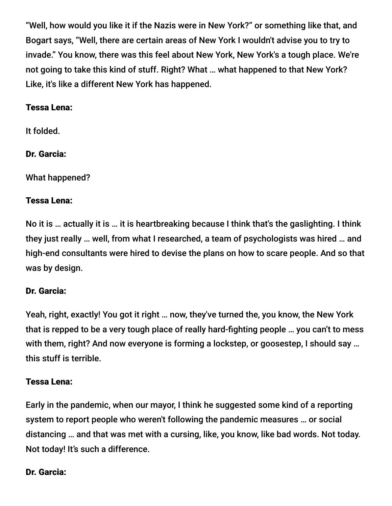"Well, how would you like it if the Nazis were in New York?" or something like that, and Bogart says, "Well, there are certain areas of New York I wouldn't advise you to try to invade." You know, there was this feel about New York, New York's a tough place. We're not going to take this kind of stuff. Right? What … what happened to that New York? Like, it's like a different New York has happened.

#### Tessa Lena:

It folded.

Dr. Garcia:

What happened?

## Tessa Lena:

No it is … actually it is … it is heartbreaking because I think that's the gaslighting. I think they just really … well, from what I researched, a team of psychologists was hired … and high-end consultants were hired to devise the plans on how to scare people. And so that was by design.

## Dr. Garcia:

Yeah, right, exactly! You got it right … now, they've turned the, you know, the New York that is repped to be a very tough place of really hard-fighting people … you can't to mess with them, right? And now everyone is forming a lockstep, or goosestep, I should say ... this stuff is terrible.

## Tessa Lena:

Early in the pandemic, when our mayor, I think he suggested some kind of a reporting system to report people who weren't following the pandemic measures … or social distancing … and that was met with a cursing, like, you know, like bad words. Not today. Not today! It's such a difference.

#### Dr. Garcia: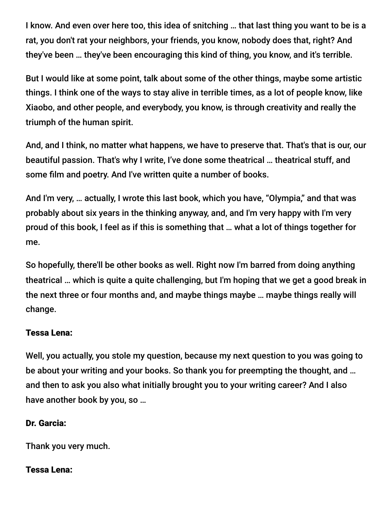I know. And even over here too, this idea of snitching … that last thing you want to be is a rat, you don't rat your neighbors, your friends, you know, nobody does that, right? And they've been … they've been encouraging this kind of thing, you know, and it's terrible.

But I would like at some point, talk about some of the other things, maybe some artistic things. I think one of the ways to stay alive in terrible times, as a lot of people know, like Xiaobo, and other people, and everybody, you know, is through creativity and really the triumph of the human spirit.

And, and I think, no matter what happens, we have to preserve that. That's that is our, our beautiful passion. That's why I write, I've done some theatrical … theatrical stuff, and some film and poetry. And I've written quite a number of books.

And I'm very, … actually, I wrote this last book, which you have, "Olympia," and that was probably about six years in the thinking anyway, and, and I'm very happy with I'm very proud of this book, I feel as if this is something that … what a lot of things together for me.

So hopefully, there'll be other books as well. Right now I'm barred from doing anything theatrical … which is quite a quite challenging, but I'm hoping that we get a good break in the next three or four months and, and maybe things maybe … maybe things really will change.

#### Tessa Lena:

Well, you actually, you stole my question, because my next question to you was going to be about your writing and your books. So thank you for preempting the thought, and … and then to ask you also what initially brought you to your writing career? And I also have another book by you, so …

#### Dr. Garcia:

Thank you very much.

#### Tessa Lena: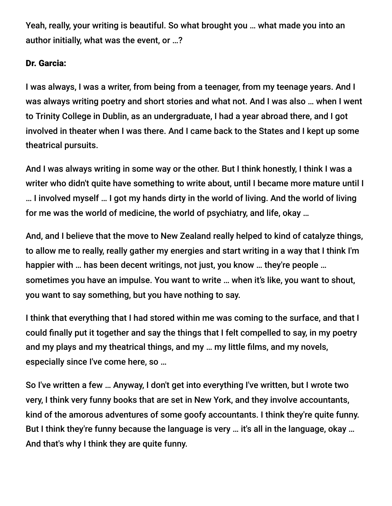Yeah, really, your writing is beautiful. So what brought you … what made you into an author initially, what was the event, or …?

## Dr. Garcia:

I was always, I was a writer, from being from a teenager, from my teenage years. And I was always writing poetry and short stories and what not. And I was also … when I went to Trinity College in Dublin, as an undergraduate, I had a year abroad there, and I got involved in theater when I was there. And I came back to the States and I kept up some theatrical pursuits.

And I was always writing in some way or the other. But I think honestly, I think I was a writer who didn't quite have something to write about, until I became more mature until I … I involved myself … I got my hands dirty in the world of living. And the world of living for me was the world of medicine, the world of psychiatry, and life, okay …

And, and I believe that the move to New Zealand really helped to kind of catalyze things, to allow me to really, really gather my energies and start writing in a way that I think I'm happier with … has been decent writings, not just, you know … they're people … sometimes you have an impulse. You want to write … when it's like, you want to shout, you want to say something, but you have nothing to say.

I think that everything that I had stored within me was coming to the surface, and that I could finally put it together and say the things that I felt compelled to say, in my poetry and my plays and my theatrical things, and my … my little films, and my novels, especially since I've come here, so …

So I've written a few … Anyway, I don't get into everything I've written, but I wrote two very, I think very funny books that are set in New York, and they involve accountants, kind of the amorous adventures of some goofy accountants. I think they're quite funny. But I think they're funny because the language is very ... it's all in the language, okay ... And that's why I think they are quite funny.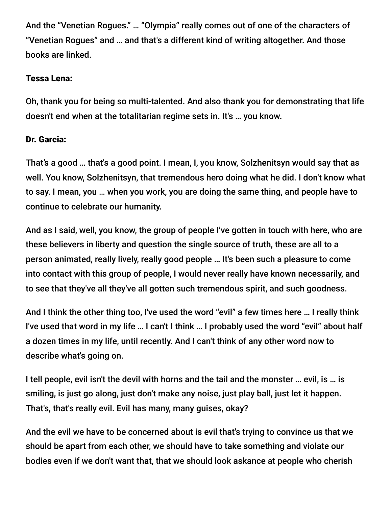And the "Venetian Rogues." … "Olympia" really comes out of one of the characters of "Venetian Rogues" and … and that's a different kind of writing altogether. And those books are linked.

## Tessa Lena:

Oh, thank you for being so multi-talented. And also thank you for demonstrating that life doesn't end when at the totalitarian regime sets in. It's … you know.

## Dr. Garcia:

That's a good … that's a good point. I mean, I, you know, Solzhenitsyn would say that as well. You know, Solzhenitsyn, that tremendous hero doing what he did. I don't know what to say. I mean, you … when you work, you are doing the same thing, and people have to continue to celebrate our humanity.

And as I said, well, you know, the group of people I've gotten in touch with here, who are these believers in liberty and question the single source of truth, these are all to a person animated, really lively, really good people … It's been such a pleasure to come into contact with this group of people, I would never really have known necessarily, and to see that they've all they've all gotten such tremendous spirit, and such goodness.

And I think the other thing too, I've used the word "evil" a few times here … I really think I've used that word in my life … I can't I think … I probably used the word "evil" about half a dozen times in my life, until recently. And I can't think of any other word now to describe what's going on.

I tell people, evil isn't the devil with horns and the tail and the monster … evil, is … is smiling, is just go along, just don't make any noise, just play ball, just let it happen. That's, that's really evil. Evil has many, many guises, okay?

And the evil we have to be concerned about is evil that's trying to convince us that we should be apart from each other, we should have to take something and violate our bodies even if we don't want that, that we should look askance at people who cherish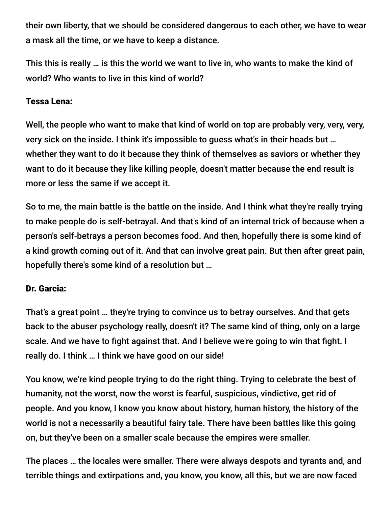their own liberty, that we should be considered dangerous to each other, we have to wear a mask all the time, or we have to keep a distance.

This this is really … is this the world we want to live in, who wants to make the kind of world? Who wants to live in this kind of world?

## Tessa Lena:

Well, the people who want to make that kind of world on top are probably very, very, very, very sick on the inside. I think it's impossible to guess what's in their heads but … whether they want to do it because they think of themselves as saviors or whether they want to do it because they like killing people, doesn't matter because the end result is more or less the same if we accept it.

So to me, the main battle is the battle on the inside. And I think what they're really trying to make people do is self-betrayal. And that's kind of an internal trick of because when a person's self-betrays a person becomes food. And then, hopefully there is some kind of a kind growth coming out of it. And that can involve great pain. But then after great pain, hopefully there's some kind of a resolution but …

## Dr. Garcia:

That's a great point … they're trying to convince us to betray ourselves. And that gets back to the abuser psychology really, doesn't it? The same kind of thing, only on a large scale. And we have to fight against that. And I believe we're going to win that fight. I really do. I think … I think we have good on our side!

You know, we're kind people trying to do the right thing. Trying to celebrate the best of humanity, not the worst, now the worst is fearful, suspicious, vindictive, get rid of people. And you know, I know you know about history, human history, the history of the world is not a necessarily a beautiful fairy tale. There have been battles like this going on, but they've been on a smaller scale because the empires were smaller.

The places … the locales were smaller. There were always despots and tyrants and, and terrible things and extirpations and, you know, you know, all this, but we are now faced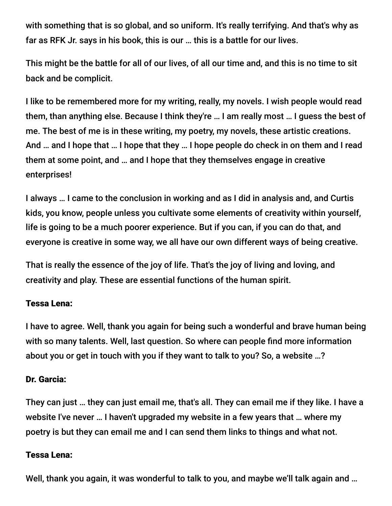with something that is so global, and so uniform. It's really terrifying. And that's why as far as RFK Jr. says in his book, this is our … this is a battle for our lives.

This might be the battle for all of our lives, of all our time and, and this is no time to sit back and be complicit.

I like to be remembered more for my writing, really, my novels. I wish people would read them, than anything else. Because I think they're … I am really most … I guess the best of me. The best of me is in these writing, my poetry, my novels, these artistic creations. And … and I hope that … I hope that they … I hope people do check in on them and I read them at some point, and … and I hope that they themselves engage in creative enterprises!

I always … I came to the conclusion in working and as I did in analysis and, and Curtis kids, you know, people unless you cultivate some elements of creativity within yourself, life is going to be a much poorer experience. But if you can, if you can do that, and everyone is creative in some way, we all have our own different ways of being creative.

That is really the essence of the joy of life. That's the joy of living and loving, and creativity and play. These are essential functions of the human spirit.

#### Tessa Lena:

I have to agree. Well, thank you again for being such a wonderful and brave human being with so many talents. Well, last question. So where can people find more information about you or get in touch with you if they want to talk to you? So, a website …?

#### Dr. Garcia:

They can just … they can just email me, that's all. They can email me if they like. I have a website I've never … I haven't upgraded my website in a few years that … where my poetry is but they can email me and I can send them links to things and what not.

#### Tessa Lena:

Well, thank you again, it was wonderful to talk to you, and maybe we'll talk again and …